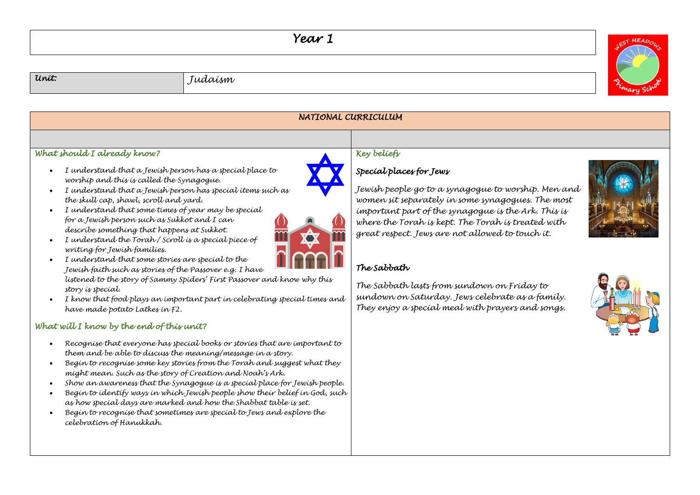## *Year 1*

*Unit: Judaism* 



| NATIONAL CURRICULUM                                                                                                                                                                                                                                                                                                                                                                                                                                                                                                                                                                                                                                                                                                                                                                                                                                                                                                                                                                                                                                                                                                                                                                                                                                                                                                                                                                                                                                                                                    |                                                                                                                                                                                                                                                                                                                                                                                                                                                                                            |  |  |
|--------------------------------------------------------------------------------------------------------------------------------------------------------------------------------------------------------------------------------------------------------------------------------------------------------------------------------------------------------------------------------------------------------------------------------------------------------------------------------------------------------------------------------------------------------------------------------------------------------------------------------------------------------------------------------------------------------------------------------------------------------------------------------------------------------------------------------------------------------------------------------------------------------------------------------------------------------------------------------------------------------------------------------------------------------------------------------------------------------------------------------------------------------------------------------------------------------------------------------------------------------------------------------------------------------------------------------------------------------------------------------------------------------------------------------------------------------------------------------------------------------|--------------------------------------------------------------------------------------------------------------------------------------------------------------------------------------------------------------------------------------------------------------------------------------------------------------------------------------------------------------------------------------------------------------------------------------------------------------------------------------------|--|--|
|                                                                                                                                                                                                                                                                                                                                                                                                                                                                                                                                                                                                                                                                                                                                                                                                                                                                                                                                                                                                                                                                                                                                                                                                                                                                                                                                                                                                                                                                                                        |                                                                                                                                                                                                                                                                                                                                                                                                                                                                                            |  |  |
| What should I already know?<br>I understand that a Jewish person has a special place to<br>worship and this is called the Synagogue.<br>I understand that a Jewish person has special items such as<br>the skull cap, shawl, scroll and yard.<br>I understand that some times of year may be special<br>for a Jewish person such as Sukkot and I can<br>describe something that happens at Sukkot.<br>I understand the Torah / Scroll is a special piece of<br>writing for Jewish families.<br>I understand that some stories are special to the<br>Jewish faith such as stories of the Passover e.g. I have<br>listened to the story of Sammy Spiders' First Passover and know why this<br>story is special.<br>I know that food plays an important part in celebrating special times and<br>have made potato Latkes in F2.<br>What will I know by the end of this unit?<br>Recognise that everyone has special books or stories that are important to<br>them and be able to discuss the meaning/message in a story.<br>Begin to recognise some key stories from the Torah and suggest what they<br>might mean. Such as the story of Creation and Noah's Ark.<br>Show an awareness that the Synagogue is a special place for Jewish people.<br>Begin to identify ways in which Jewish people show their belief in God, such<br>as how special days are marked and how the Shabbat table is set.<br>Begin to recognise that sometimes are special to Jews and explore the<br>celebration of Hanukkah. | Key beliefs<br>Special places for Jews<br>Jewish people go to a synagogue to worship. Men and<br>women sit separately in some synagogues. The most<br>important part of the synagogue is the Ark. This is<br>where the Torah is kept. The Torah is treated with<br>great respect. Jews are not allowed to touch it.<br>The Sabbath<br>The Sabbath lasts from sundown on Friday to<br>sundown on Saturday. Jews celebrate as a family.<br>They enjoy a special meal with prayers and songs. |  |  |